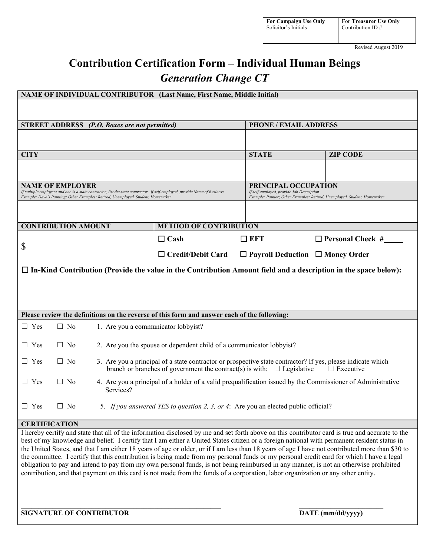Revised August 2019

# **Contribution Certification Form – Individual Human Beings** *Generation Change CT*

| NAME OF INDIVIDUAL CONTRIBUTOR (Last Name, First Name, Middle Initial)                                                                                                                                                                                                                                                                                                                                                                                                                                                                                                                                                                                                                                                                                                                                                                                                     |                                                                                                 |                                                                                                                                                                                                                 |              |                                                                                                                                                        |  |
|----------------------------------------------------------------------------------------------------------------------------------------------------------------------------------------------------------------------------------------------------------------------------------------------------------------------------------------------------------------------------------------------------------------------------------------------------------------------------------------------------------------------------------------------------------------------------------------------------------------------------------------------------------------------------------------------------------------------------------------------------------------------------------------------------------------------------------------------------------------------------|-------------------------------------------------------------------------------------------------|-----------------------------------------------------------------------------------------------------------------------------------------------------------------------------------------------------------------|--------------|--------------------------------------------------------------------------------------------------------------------------------------------------------|--|
|                                                                                                                                                                                                                                                                                                                                                                                                                                                                                                                                                                                                                                                                                                                                                                                                                                                                            |                                                                                                 |                                                                                                                                                                                                                 |              |                                                                                                                                                        |  |
| <b>STREET ADDRESS</b> (P.O. Boxes are not permitted)                                                                                                                                                                                                                                                                                                                                                                                                                                                                                                                                                                                                                                                                                                                                                                                                                       |                                                                                                 |                                                                                                                                                                                                                 |              | <b>PHONE / EMAIL ADDRESS</b>                                                                                                                           |  |
|                                                                                                                                                                                                                                                                                                                                                                                                                                                                                                                                                                                                                                                                                                                                                                                                                                                                            |                                                                                                 |                                                                                                                                                                                                                 |              |                                                                                                                                                        |  |
| <b>CITY</b>                                                                                                                                                                                                                                                                                                                                                                                                                                                                                                                                                                                                                                                                                                                                                                                                                                                                |                                                                                                 |                                                                                                                                                                                                                 | <b>STATE</b> | <b>ZIP CODE</b>                                                                                                                                        |  |
|                                                                                                                                                                                                                                                                                                                                                                                                                                                                                                                                                                                                                                                                                                                                                                                                                                                                            |                                                                                                 |                                                                                                                                                                                                                 |              |                                                                                                                                                        |  |
| <b>NAME OF EMPLOYER</b><br>If multiple employers and one is a state contractor, list the state contractor. If self-employed, provide Name of Business.<br>Example: Dave's Painting; Other Examples: Retired, Unemployed, Student, Homemaker                                                                                                                                                                                                                                                                                                                                                                                                                                                                                                                                                                                                                                |                                                                                                 |                                                                                                                                                                                                                 |              | <b>PRINCIPAL OCCUPATION</b><br>If self-employed, provide Job Description.<br>Example: Painter; Other Examples: Retired, Unemployed, Student, Homemaker |  |
|                                                                                                                                                                                                                                                                                                                                                                                                                                                                                                                                                                                                                                                                                                                                                                                                                                                                            |                                                                                                 |                                                                                                                                                                                                                 |              |                                                                                                                                                        |  |
| <b>CONTRIBUTION AMOUNT</b>                                                                                                                                                                                                                                                                                                                                                                                                                                                                                                                                                                                                                                                                                                                                                                                                                                                 |                                                                                                 | <b>METHOD OF CONTRIBUTION</b>                                                                                                                                                                                   |              |                                                                                                                                                        |  |
| \$                                                                                                                                                                                                                                                                                                                                                                                                                                                                                                                                                                                                                                                                                                                                                                                                                                                                         |                                                                                                 | $\Box$ Cash                                                                                                                                                                                                     | EFT          |                                                                                                                                                        |  |
|                                                                                                                                                                                                                                                                                                                                                                                                                                                                                                                                                                                                                                                                                                                                                                                                                                                                            |                                                                                                 | $\Box$ Credit/Debit Card                                                                                                                                                                                        |              | $\Box$ Payroll Deduction $\Box$ Money Order                                                                                                            |  |
| $\Box$ In-Kind Contribution (Provide the value in the Contribution Amount field and a description in the space below):                                                                                                                                                                                                                                                                                                                                                                                                                                                                                                                                                                                                                                                                                                                                                     |                                                                                                 |                                                                                                                                                                                                                 |              |                                                                                                                                                        |  |
|                                                                                                                                                                                                                                                                                                                                                                                                                                                                                                                                                                                                                                                                                                                                                                                                                                                                            |                                                                                                 |                                                                                                                                                                                                                 |              |                                                                                                                                                        |  |
|                                                                                                                                                                                                                                                                                                                                                                                                                                                                                                                                                                                                                                                                                                                                                                                                                                                                            |                                                                                                 |                                                                                                                                                                                                                 |              |                                                                                                                                                        |  |
| Please review the definitions on the reverse of this form and answer each of the following:                                                                                                                                                                                                                                                                                                                                                                                                                                                                                                                                                                                                                                                                                                                                                                                |                                                                                                 |                                                                                                                                                                                                                 |              |                                                                                                                                                        |  |
| $\Box$ Yes<br>$\Box$ No                                                                                                                                                                                                                                                                                                                                                                                                                                                                                                                                                                                                                                                                                                                                                                                                                                                    |                                                                                                 | 1. Are you a communicator lobbyist?                                                                                                                                                                             |              |                                                                                                                                                        |  |
| $\Box$ Yes<br>$\Box$ No                                                                                                                                                                                                                                                                                                                                                                                                                                                                                                                                                                                                                                                                                                                                                                                                                                                    |                                                                                                 | 2. Are you the spouse or dependent child of a communicator lobbyist?                                                                                                                                            |              |                                                                                                                                                        |  |
| $\Box$ Yes<br>$\Box$ No                                                                                                                                                                                                                                                                                                                                                                                                                                                                                                                                                                                                                                                                                                                                                                                                                                                    |                                                                                                 | 3. Are you a principal of a state contractor or prospective state contractor? If yes, please indicate which<br>branch or branches of government the contract(s) is with: $\Box$ Legislative<br>$\Box$ Executive |              |                                                                                                                                                        |  |
| $\Box$ Yes<br>$\Box$ No                                                                                                                                                                                                                                                                                                                                                                                                                                                                                                                                                                                                                                                                                                                                                                                                                                                    | Services?                                                                                       | 4. Are you a principal of a holder of a valid prequalification issued by the Commissioner of Administrative                                                                                                     |              |                                                                                                                                                        |  |
| $\Box$ Yes                                                                                                                                                                                                                                                                                                                                                                                                                                                                                                                                                                                                                                                                                                                                                                                                                                                                 | $\Box$ No<br>5. If you answered YES to question 2, 3, or 4: Are you an elected public official? |                                                                                                                                                                                                                 |              |                                                                                                                                                        |  |
| <b>CERTIFICATION</b>                                                                                                                                                                                                                                                                                                                                                                                                                                                                                                                                                                                                                                                                                                                                                                                                                                                       |                                                                                                 |                                                                                                                                                                                                                 |              |                                                                                                                                                        |  |
| I hereby certify and state that all of the information disclosed by me and set forth above on this contributor card is true and accurate to the<br>best of my knowledge and belief. I certify that I am either a United States citizen or a foreign national with permanent resident status in<br>the United States, and that I am either 18 years of age or older, or if I am less than 18 years of age I have not contributed more than \$30 to<br>the committee. I certify that this contribution is being made from my personal funds or my personal credit card for which I have a legal<br>obligation to pay and intend to pay from my own personal funds, is not being reimbursed in any manner, is not an otherwise prohibited<br>contribution, and that payment on this card is not made from the funds of a corporation, labor organization or any other entity. |                                                                                                 |                                                                                                                                                                                                                 |              |                                                                                                                                                        |  |

**\_\_\_\_\_\_\_\_\_\_\_\_\_\_\_\_\_\_\_\_\_\_\_\_\_\_\_\_\_\_\_\_\_\_\_\_\_\_\_\_\_\_\_\_\_\_\_\_\_\_\_\_\_\_\_\_\_ \_\_\_\_\_\_\_\_\_\_\_\_\_\_\_\_\_\_\_\_\_\_\_\_**

**SIGNATURE OF CONTRIBUTOR DATE** (mm/dd/yyyy)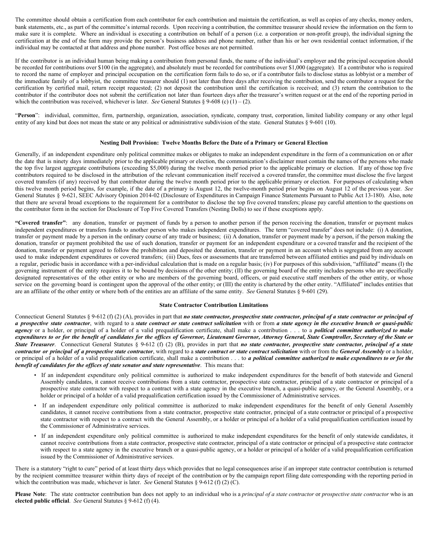The committee should obtain a certification from each contributor for each contribution and maintain the certification, as well as copies of any checks, money orders, bank statements, etc., as part of the committee's internal records. Upon receiving a contribution, the committee treasurer should review the information on the form to make sure it is complete. Where an individual is executing a contribution on behalf of a person (i.e. a corporation or non-profit group), the individual signing the certification at the end of the form may provide the person's business address and phone number, rather than his or her own residential contact information, if the individual may be contacted at that address and phone number. Post office boxes are not permitted.

If the contributor is an individual human being making a contribution from personal funds, the name of the individual's employer and the principal occupation should be recorded for contributions over \$100 (in the aggregate), and absolutely must be recorded for contributions over \$1,000 (aggregate). If a contributor who is required to record the name of employer and principal occupation on the certification form fails to do so, or if a contributor fails to disclose status as lobbyist or a member of the immediate family of a lobbyist, the committee treasurer should (1) not later than three days after receiving the contribution, send the contributor a request for the certification by certified mail, return receipt requested; (2) not deposit the contribution until the certification is received; and (3) return the contribution to the contributor if the contributor does not submit the certification not later than fourteen days after the treasurer's written request or at the end of the reporting period in which the contribution was received, whichever is later. *See* General Statutes § 9-608 (c) (1) – (2).

"Person": individual, committee, firm, partnership, organization, association, syndicate, company trust, corporation, limited liability company or any other legal entity of any kind but does not mean the state or any political or administrative subdivision of the state. General Statutes § 9-601 (10).

# **Nesting Doll Provision: Twelve Months Before the Date of a Primary or General Election**

Generally, if an independent expenditure only political committee makes or obligates to make an independent expenditure in the form of a communication on or after the date that is ninety days immediately prior to the applicable primary or election, the communication's disclaimer must contain the names of the persons who made the top five largest aggregate contributions (exceeding \$5,000) during the twelve month period prior to the applicable primary or election. If any of those top five contributors required to be disclosed in the attribution of the relevant communication itself received a covered transfer, the committee must disclose the five largest covered transfers (if any) received by that contributor during the twelve month period prior to the applicable primary or election. For purposes of calculating when this twelve month period begins, for example, if the date of a primary is August 12, the twelve-month period prior begins on August 12 of the previous year. *See* General Statutes § 9-621, SEEC Advisory Opinion 2014-02 (Disclosure of Expenditures in Campaign Finance Statements Pursuant to Public Act 13-180). Also, note that there are several broad exceptions to the requirement for a contributor to disclose the top five covered transfers; please pay careful attention to the questions on the contributor form in the section for Disclosure of Top Five Covered Transfers (Nesting Dolls) to see if these exceptions apply.

**"Covered transfer"**: any donation, transfer or payment of funds by a person to another person if the person receiving the donation, transfer or payment makes independent expenditures or transfers funds to another person who makes independent expenditures. The term "covered transfer" does not include: (i) A donation, transfer or payment made by a person in the ordinary course of any trade or business; (ii) A donation, transfer or payment made by a person, if the person making the donation, transfer or payment prohibited the use of such donation, transfer or payment for an independent expenditure or a covered transfer and the recipient of the donation, transfer or payment agreed to follow the prohibition and deposited the donation, transfer or payment in an account which is segregated from any account used to make independent expenditures or covered transfers; (iii) Dues, fees or assessments that are transferred between affiliated entities and paid by individuals on a regular, periodic basis in accordance with a per-individual calculation that is made on a regular basis; (iv) For purposes of this subdivision, "affiliated" means (I) the governing instrument of the entity requires it to be bound by decisions of the other entity; (II) the governing board of the entity includes persons who are specifically designated representatives of the other entity or who are members of the governing board, officers, or paid executive staff members of the other entity, or whose service on the governing board is contingent upon the approval of the other entity; or (III) the entity is chartered by the other entity. "Affiliated" includes entities that are an affiliate of the other entity or where both of the entities are an affiliate of the same entity. *See* General Statutes § 9-601 (29).

### **State Contractor Contribution Limitations**

Connecticut General Statutes § 9-612 (f) (2) (A), provides in part that no state contractor, prospective state contractor, principal of a state contractor or principal of a prospective state contractor, with regard to a state contract or state contract solicitation with or from a state agency in the executive branch or quasi-public *agency* or a holder, or principal of a holder of a valid prequalification certificate, shall make a contribution . . . to a *political committee authorized to make* expenditures to or for the benefit of candidates for the offices of Governor, Lieutenant Governor, Attorney General, State Comptroller, Secretary of the State or State Treasurer. Connecticut General Statutes § 9-612 (f) (2) (B), provides in part that no state contractor, prospective state contractor, principal of a state contractor or principal of a prospective state contractor, with regard to a state contract or state contract solicitation with or from the General Assembly or a holder, or principal of a holder of a valid prequalification certificate, shall make a contribution . . . to a political committee authorized to make expenditures to or for the *benefit of candidates for the of ices of state senator and state representative*. This means that:

- If an independent expenditure only political committee is authorized to make independent expenditures for the benefit of both statewide and General Assembly candidates, it cannot receive contributions from a state contractor, prospective state contractor, principal of a state contractor or principal of a prospective state contractor with respect to a contract with a state agency in the executive branch, a quasi-public agency, or the General Assembly, or a holder or principal of a holder of a valid prequalification certification issued by the Commissioner of Administrative services.
- If an independent expenditure only political committee is authorized to make independent expenditures for the benefit of only General Assembly candidates, it cannot receive contributions from a state contractor, prospective state contractor, principal of a state contractor or principal of a prospective state contractor with respect to a contract with the General Assembly, or a holder or principal of a holder of a valid prequalification certification issued by the Commissioner of Administrative services.
- If an independent expenditure only political committee is authorized to make independent expenditures for the benefit of only statewide candidates, it cannot receive contributions from a state contractor, prospective state contractor, principal of a state contractor or principal of a prospective state contractor with respect to a state agency in the executive branch or a quasi-public agency, or a holder or principal of a holder of a valid prequalification certification issued by the Commissioner of Administrative services.

There is a statutory "right to cure" period of at least thirty days which provides that no legal consequences arise if an improper state contractor contribution is returned by the recipient committee treasurer within thirty days of receipt of the contribution or by the campaign report filing date corresponding with the reporting period in which the contribution was made, whichever is later. *See* General Statutes § 9-612 (f) (2) (C).

Please Note: The state contractor contribution ban does not apply to an individual who is a principal of a state contractor or prospective state contractor who is an **elected public official**. *See* General Statutes § 9-612 (f) (4).